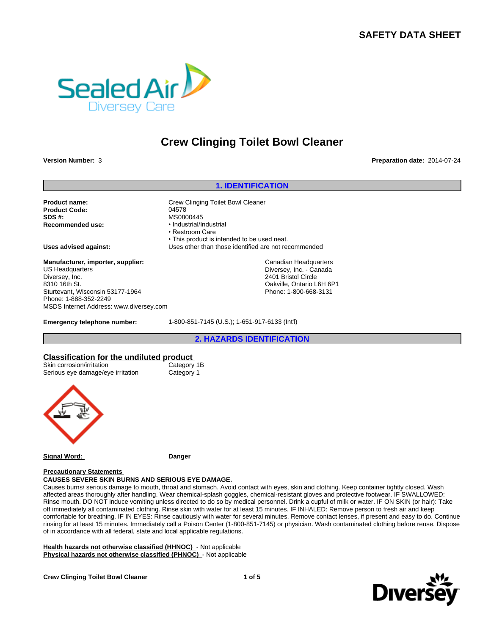# **SAFETY DATA SHEET**



# **Crew Clinging Toilet Bowl Cleaner**

**Version Number:** 3 **Preparation date:** 2014-07-24

Product Code: 04578 **SDS #:** MS0800445 **Recommended use:** 

**1. IDENTIFICATION**<br><sup>Preparat</sup><br><sup>1. IDENTIFICATION<br>Dilet Bowl Cleaner</sup> **Product name:** Crew Clinging Toilet Bowl Cleaner • Restroom Care • This product is intended to be used neat. **Uses advised against:** Uses other than those identified are not recommended 145<br>
al/Industrial<br>
m Care<br>
m Care<br>
educt is intended to be used neat.<br>
er than those identified are not recommended<br>
Canadian Headquarters<br>
Diversey, Inc. - Canada<br>
2401 Bristol Circle<br>
Oakville, Ontario L6H 6P1<br>
Phone: 1 Canadian Headquarters

Diversey, Inc. - Canada 2401 Bristol Circle Oakville, Ontario L6H 6P1 Phone: 1-800-668-3131

**Manufacturer, importer, supplier:** US Headquarters Diversey, Inc. 8310 16th St. Sturtevant, Wisconsin 53177-1964 Phone: 1-888-352-2249 MSDS Internet Address: www.diversey.com

**Emergency telephone number:** 1-800-851-7145 (U.S.); 1-651-917-6133 (Int'l)

# **Classification for the undiluted product**

| Skin corrosion/irritation         |
|-----------------------------------|
| Serious eye damage/eye irritation |
|                                   |

Category 1B Category 1



**Signal Word: Danger**

### **Precautionary Statements CAUSES SEVERE SKIN BURNS AND SERIOUS EYE DAMAGE.**

Causes burns/ serious damage to mouth, throat and stomach. Avoid contact with eyes, skin and clothing. Keep container tightly closed. Wash affected areas thoroughly after handling. Wear chemical-splash goggles, chemical-resistant gloves and protective footwear. IF SWALLOWED: Rinse mouth. DO NOT induce vomiting unless directed to do so by medical personnel. Drink a cupful of milk or water. IF ON SKIN (or hair): Take

off immediately all contaminated clothing. Rinse skin with water for at least 15 minutes. IF INHALED: Remove person to fresh air and keep comfortable for breathing. IF IN EYES: Rinse cautiously with water for several minutes. Remove contact lenses, if present and easy to do. Continue rinsing for at least 15 minutes. Immediately call a Poison Center (1-800-851-7145) or physician. Wash contaminated clothing before reuse. Dispose of in accordance with all federal, state and local applicable regulations.

**Health hazards not otherwise classified (HHNOC)** - Not applicable **Physical hazards not otherwise classified (PHNOC)** - Not applicable

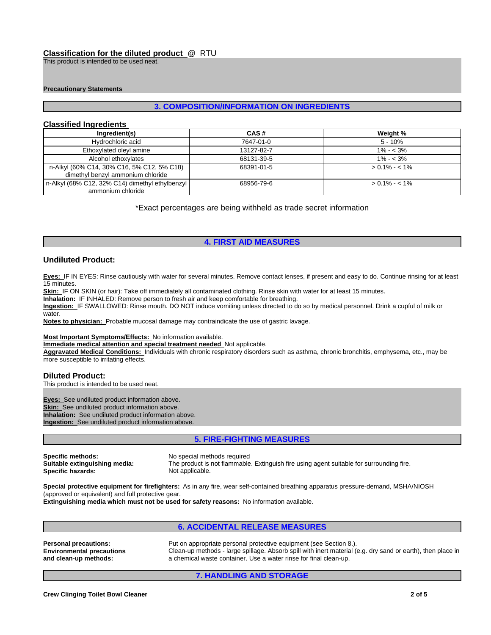# **Classification for the diluted product** @ RTU

### **Precautionary Statements**

### **Classified Ingredients**

| Classification for the diluted product @ RTU<br>This product is intended to be used neat. |                                                                   |                   |
|-------------------------------------------------------------------------------------------|-------------------------------------------------------------------|-------------------|
|                                                                                           |                                                                   |                   |
|                                                                                           |                                                                   |                   |
| <b>Precautionary Statements</b>                                                           |                                                                   |                   |
|                                                                                           |                                                                   |                   |
|                                                                                           | <b>3. COMPOSITION/INFORMATION ON INGREDIENTS</b>                  |                   |
|                                                                                           |                                                                   |                   |
| <b>Classified Ingredients</b>                                                             |                                                                   |                   |
| Ingredient(s)                                                                             | CAS#                                                              | Weight %          |
| Hydrochloric acid                                                                         | 7647-01-0                                                         | $5 - 10%$         |
| Ethoxylated oleyl amine                                                                   | 13127-82-7                                                        | $1\% - 3\%$       |
| Alcohol ethoxylates                                                                       | 68131-39-5                                                        | $1\% - 3\%$       |
| n-Alkyl (60% C14, 30% C16, 5% C12, 5% C18)<br>dimethyl benzyl ammonium chloride           | 68391-01-5                                                        | $> 0.1\% - < 1\%$ |
| n-Alkyl (68% C12, 32% C14) dimethyl ethylbenzyl<br>ammonium chloride                      | 68956-79-6                                                        | $> 0.1\% - < 1\%$ |
|                                                                                           | *Exact percentages are being withheld as trade secret information |                   |
|                                                                                           |                                                                   |                   |
|                                                                                           |                                                                   |                   |
|                                                                                           |                                                                   |                   |
|                                                                                           | <b>4. FIRST AID MEASURES</b>                                      |                   |
|                                                                                           |                                                                   |                   |
|                                                                                           |                                                                   |                   |

# **Undiluted Product:**

**Eyes:** IF IN EYES: Rinse cautiously with water for several minutes. Remove contact lenses, if present and easy to do. Continue rinsing for at least 15 minutes.

Skin: IF ON SKIN (or hair): Take off immediately all contaminated clothing. Rinse skin with water for at least 15 minutes.

**Inhalation:** IF INHALED: Remove person to fresh air and keep comfortable for breathing.

**Ingestion:** IF SWALLOWED: Rinse mouth. DO NOT induce vomiting unless directed to do so by medical personnel. Drink a cupful of milk or water.

**Notes to physician:** Probable mucosal damage may contraindicate the use of gastric lavage.

#### **Most Important Symptoms/Effects:** No information available.

**Immediate medical attention and special treatment needed** Not applicable.

**Aggravated Medical Conditions:** Individuals with chronic respiratory disorders such as asthma, chronic bronchitis, emphysema, etc., may be more susceptible to irritating effects.

# **Diluted Product:**

This product is intended to be used neat.

**Eyes:** See undiluted product information above. **Skin:** See undiluted product information above. **Inhalation:** See undiluted product information above. **Ingestion:** See undiluted product information above.

**Specific methods:** No special methods required<br> **Suitable extinguishing media:** The product is not flammable **Specific hazards:** 

Francial Contraindicate the use of gastric lavage.<br>
1. **Inceded** Not applicable.<br>
1. **FIRE-FIGHTING MEASURES**<br>
5. FIRE-FIGHTING MEASURES<br>
2. THIRE-FIGHTING MEASURES<br>
2. THIRE-FIGHTING MEASURES<br>
2. THIRE-FIGHTING MEASURES The product is not flammable. Extinguish fire using agent suitable for surrounding fire.<br>Not applicable.

**Special protective equipment for firefighters:** As in any fire, wear self-contained breathing apparatus pressure-demand, MSHA/NIOSH (approved or equivalent) and full protective gear.

**Extinguishing media which must not be used for safety reasons:** No information available.

**6.**<br> **5. FIRE-FIGHTING MEASURES**<br>
special methods required<br>
applicable.<br>
applicable.<br>
As in any fire, wear self-contained breathing apparatus pressure-demand, MSHA/NIOS<br>
There applicable.<br>
As in any fire, wear self-contai **Personal precautions:** Put on appropriate personal protective equipment (see Section 8.). **Environmental precautions and clean-up methods:** Clean-up methods - large spillage. Absorb spill with inert material (e.g. dry sand or earth), then place in a chemical waste container. Use a water rinse for final clean-up. In methods required<br>
2. The using agent suitable for surrounding fire-<br>
2. The using agent suitable for surrounding fire-<br>
2. The using apparatus pressure-demand, MSHA<br>
2. The using agents of pressure-demand, MSHA<br>
2. The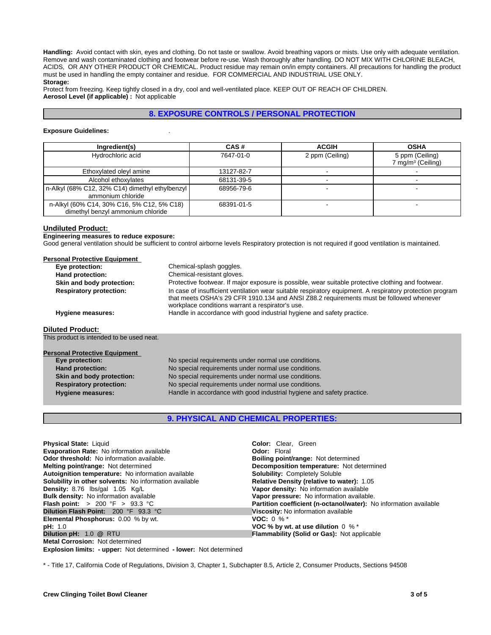**Handling:** Avoid contact with skin, eyes and clothing. Do not taste or swallow. Avoid breathing vapors or mists. Use only with adequate ventilation. Remove and wash contaminated clothing and footwear before re-use. Wash thoroughly after handling. DO NOT MIX WITH CHLORINE BLEACH, ACIDS, OR ANY OTHER PRODUCT OR CHEMICAL. Product residue may remain on/in empty containers. All precautions for handling the product must be used in handling the empty container and residue. FOR COMMERCIAL AND INDUSTRIAL USE ONLY. **Storage: Solution** and clothing. Do not taste or swallow. Avoid breathing vapors or mists. Use only with adequate ventilation.<br>
The COR CHEMICAL. Product residue may remain on/in empty containers. All precautions for handling the

Protect from freezing. Keep tightly closed in a dry, cool and well-ventilated place. KEEP OUT OF REACH OF CHILDREN. **Aerosol Level (if applicable) :** Not applicable

### **Exposure Guidelines:** .

| Ingredient(s)                                                                   | CAS#       | <b>ACGIH</b>    | <b>OSHA</b>                                      |
|---------------------------------------------------------------------------------|------------|-----------------|--------------------------------------------------|
| Hydrochloric acid                                                               | 7647-01-0  | 2 ppm (Ceiling) | 5 ppm (Ceiling)<br>7 mg/m <sup>3</sup> (Ceiling) |
| Ethoxylated oleyl amine                                                         | 13127-82-7 |                 |                                                  |
| Alcohol ethoxylates                                                             | 68131-39-5 |                 |                                                  |
| n-Alkyl (68% C12, 32% C14) dimethyl ethylbenzyl<br>ammonium chloride            | 68956-79-6 |                 |                                                  |
| n-Alkyl (60% C14, 30% C16, 5% C12, 5% C18)<br>dimethyl benzyl ammonium chloride | 68391-01-5 |                 | -                                                |

### **Undiluted Product:**

**Engineering measures to reduce exposure:**

Good general ventilation should be sufficient to control airborne levels Respiratory protection is not required if good ventilation is maintained.

| Eye protection:                           | Chemical-splash goggles.                                                                                                                                                                                                                                 |
|-------------------------------------------|----------------------------------------------------------------------------------------------------------------------------------------------------------------------------------------------------------------------------------------------------------|
| Hand protection:                          | Chemical-resistant gloves.                                                                                                                                                                                                                               |
| Skin and body protection:                 | Protective footwear. If major exposure is possible, wear suitable protective clothing and footwear.                                                                                                                                                      |
| <b>Respiratory protection:</b>            | In case of insufficient ventilation wear suitable respiratory equipment. A respiratory protection program<br>that meets OSHA's 29 CFR 1910.134 and ANSI Z88.2 requirements must be followed whenever<br>workplace conditions warrant a respirator's use. |
| <b>Hygiene measures:</b>                  | Handle in accordance with good industrial hygiene and safety practice.                                                                                                                                                                                   |
| <b>Diluted Product:</b>                   |                                                                                                                                                                                                                                                          |
| This product is intended to be used neat. |                                                                                                                                                                                                                                                          |
| <b>Personal Protective Equipment</b>      |                                                                                                                                                                                                                                                          |
| Eye protection:                           | No special requirements under normal use conditions.                                                                                                                                                                                                     |
| Hand protection:                          | No special requirements under normal use conditions.                                                                                                                                                                                                     |
| Skin and body protection:                 | No special requirements under normal use conditions.                                                                                                                                                                                                     |
| <b>Respiratory protection:</b>            | No special requirements under normal use conditions.                                                                                                                                                                                                     |
| <b>Hygiene measures:</b>                  | Handle in accordance with good industrial hygiene and safety practice.                                                                                                                                                                                   |
|                                           |                                                                                                                                                                                                                                                          |
|                                           | <b>9. PHYSICAL AND CHEMICAL PROPERTIES:</b>                                                                                                                                                                                                              |

| Eye protection:                | No special requirements under normal use conditions.                   |
|--------------------------------|------------------------------------------------------------------------|
| <b>Hand protection:</b>        | No special requirements under normal use conditions.                   |
| Skin and body protection:      | No special requirements under normal use conditions.                   |
| <b>Respiratory protection:</b> | No special requirements under normal use conditions.                   |
| <b>Hygiene measures:</b>       | Handle in accordance with good industrial hygiene and safety practice. |
|                                |                                                                        |

| <b>Physical State: Liquid</b>                                                                                                     | <b>Color:</b> Clear, Green                                        |
|-----------------------------------------------------------------------------------------------------------------------------------|-------------------------------------------------------------------|
| <b>Evaporation Rate:</b> No information available                                                                                 | <b>Odor: Floral</b>                                               |
| Odor threshold: No information available.                                                                                         | <b>Boiling point/range: Not determined</b>                        |
|                                                                                                                                   |                                                                   |
| <b>Melting point/range: Not determined</b>                                                                                        | Decomposition temperature: Not determined                         |
| Autoignition temperature: No information available                                                                                | <b>Solubility: Completely Soluble</b>                             |
| <b>Solubility in other solvents:</b> No information available                                                                     | Relative Density (relative to water): 1.05                        |
| <b>Density:</b> 8.76 $\text{lbs/gal}$ 1.05 $\text{Kg/L}$                                                                          | Vapor density: No information available                           |
| <b>Bulk density:</b> No information available                                                                                     | Vapor pressure: No information available.                         |
| <b>Flash point:</b> > 200 °F > 93.3 °C                                                                                            | Partition coefficient (n-octanol/water): No information available |
| Dilution Flash Point: 200 °F 93.3 °C                                                                                              | Viscosity: No information available                               |
| <b>Elemental Phosphorus: 0.00 % by wt.</b>                                                                                        | <b>VOC:</b> $0\%$ *                                               |
| pH: 1.0                                                                                                                           | VOC % by wt. at use dilution $0 \%$ *                             |
| Dilution pH: 1.0 @ RTU                                                                                                            | <b>Flammability (Solid or Gas): Not applicable</b>                |
| <b>Metal Corrosion: Not determined</b>                                                                                            |                                                                   |
| <b>Explosion limits: - upper:</b> Not determined - lower: Not determined                                                          |                                                                   |
|                                                                                                                                   |                                                                   |
| * - Title 17, California Code of Regulations, Division 3, Chapter 1, Subchapter 8.5, Article 2, Consumer Products, Sections 94508 |                                                                   |
|                                                                                                                                   |                                                                   |
|                                                                                                                                   |                                                                   |
|                                                                                                                                   |                                                                   |
|                                                                                                                                   |                                                                   |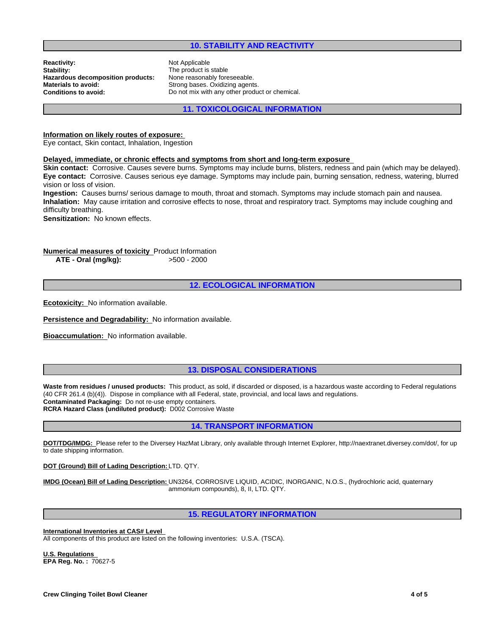# **10. STABILITY AND REACTIVITY**

**Reactivity:** Not Applicable Stability: Not Applicable Stability: **Hazardous decomposition products:**<br>Materials to avoid: **Materials to avoid:** Strong bases. Oxidizing agents.<br> **Conditions to avoid:** Do not mix with any other produ

The product is stable<br>None reasonably foreseeable. Do not mix with any other product or chemical.

**11. TOXICOLOGICAL INFORMATION**

### **Information on likely routes of exposure:**

Eye contact, Skin contact, Inhalation, Ingestion

### **Delayed, immediate, or chronic effects and symptoms from short and long-term exposure**

**Skin contact:** Corrosive. Causes severe burns. Symptoms may include burns, blisters, redness and pain (which may be delayed). **Eye contact:** Corrosive. Causes serious eye damage. Symptoms may include pain, burning sensation, redness, watering, blurred vision or loss of vision.

**Ingestion:** Causes burns/ serious damage to mouth, throat and stomach. Symptoms may include stomach pain and nausea. **Inhalation:** May cause irritation and corrosive effects to nose, throat and respiratory tract. Symptoms may include coughing and difficulty breathing.

**Sensitization:** No known effects.

## **Numerical measures of toxicity** Product Information **ATE - Oral (mg/kg):** >500 - 2000

# **12. ECOLOGICAL INFORMATION**

**Ecotoxicity:** No information available.

**Persistence and Degradability:** No information available.

**Bioaccumulation:** No information available.

# **13. DISPOSAL CONSIDERATIONS**

Waste from residues / unused products: This product, as sold, if discarded or disposed, is a hazardous waste according to Federal regulations (40 CFR 261.4 (b)(4)). Dispose in compliance with all Federal, state, provincial, and local laws and regulations. **Contaminated Packaging:** Do not re-use empty containers. **RCRA Hazard Class (undiluted product):** D002 Corrosive Waste

# **14. TRANSPORT INFORMATION**

**DOT/TDG/IMDG:** Please refer to the Diversey HazMat Library, only available through Internet Explorer, http://naextranet.diversey.com/dot/, for up to date shipping information.

**DOT (Ground) Bill of Lading Description:** LTD. QTY.

**IMDG (Ocean) Bill of Lading Description:** UN3264, CORROSIVE LIQUID, ACIDIC, INORGANIC, N.O.S., (hydrochloric acid, quaternary ammonium compounds), 8, II, LTD. QTY.

# **15. REGULATORY INFORMATION**

**International Inventories at CAS# Level**  All components of this product are listed on the following inventories: U.S.A. (TSCA).

**U.S. Regulations EPA Reg. No. :** 70627-5